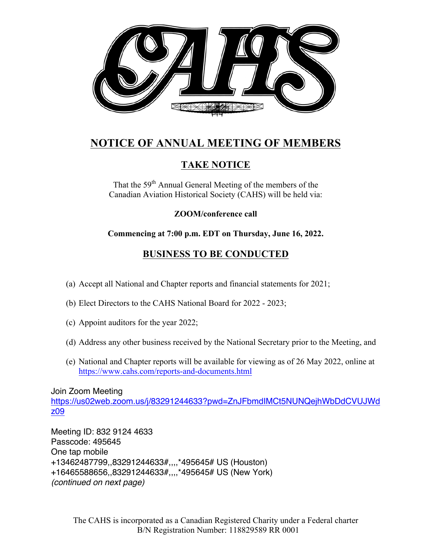

## **NOTICE OF ANNUAL MEETING OF MEMBERS**

## **TAKE NOTICE**

That the 59<sup>th</sup> Annual General Meeting of the members of the Canadian Aviation Historical Society (CAHS) will be held via:

**ZOOM/conference call** 

**Commencing at 7:00 p.m. EDT on Thursday, June 16, 2022.**

## **BUSINESS TO BE CONDUCTED**

- (a) Accept all National and Chapter reports and financial statements for 2021;
- (b) Elect Directors to the CAHS National Board for 2022 2023;
- (c) Appoint auditors for the year 2022;
- (d) Address any other business received by the National Secretary prior to the Meeting, and
- (e) National and Chapter reports will be available for viewing as of 26 May 2022, online at https://www.cahs.com/reports-and-documents.html

Join Zoom Meeting

https://us02web.zoom.us/j/83291244633?pwd=ZnJFbmdIMCt5NUNQejhWbDdCVUJWd z09

Meeting ID: 832 9124 4633 Passcode: 495645 One tap mobile +13462487799,,83291244633#,,,,\*495645# US (Houston) +16465588656,,83291244633#,,,,\*495645# US (New York) *(continued on next page)*